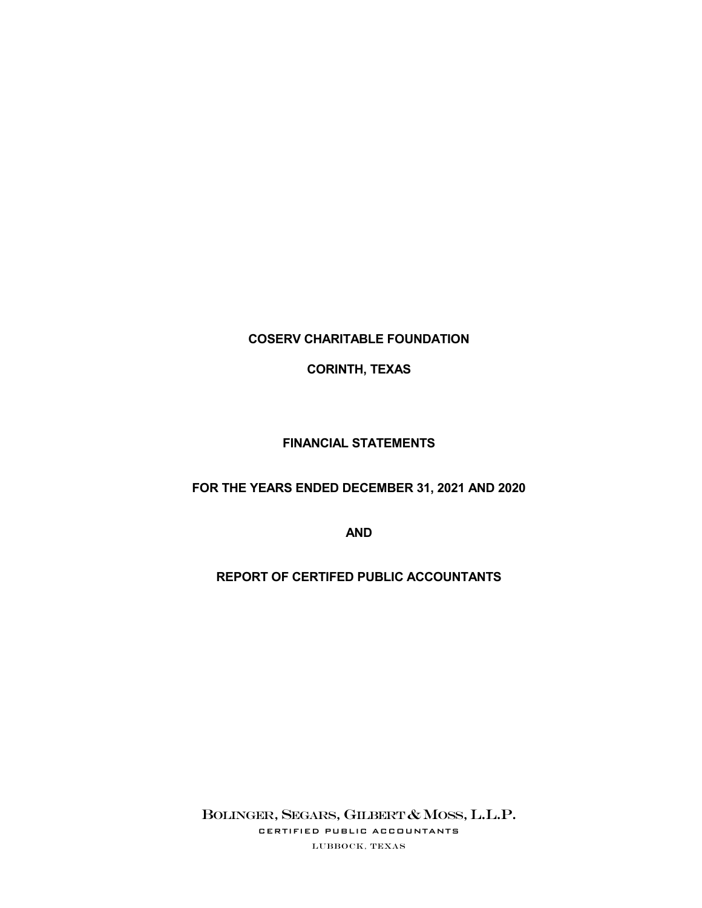# **COSERV CHARITABLE FOUNDATION**

# **CORINTH, TEXAS**

## **FINANCIAL STATEMENTS**

#### **FOR THE YEARS ENDED DECEMBER 31, 2021 AND 2020**

**AND**

**REPORT OF CERTIFED PUBLIC ACCOUNTANTS**

BOLINGER, SEGARS, GILBERT & MOSS, L.L.P. CERTIFIED PUBLIC ACCOUNTANTS LUBBOCK, TEXAS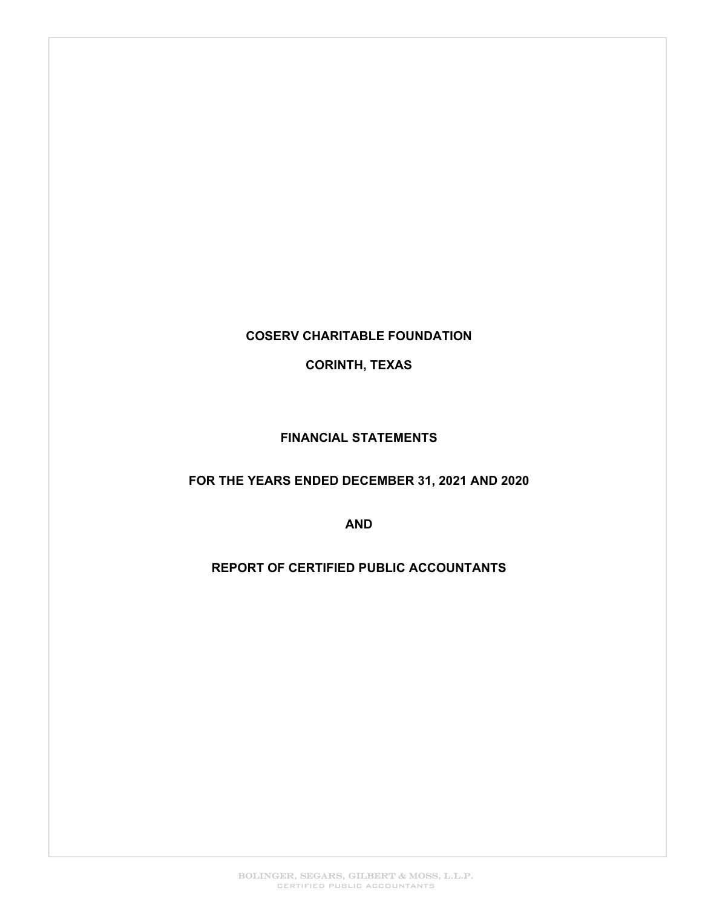# **COSERV CHARITABLE FOUNDATION**

**CORINTH, TEXAS** 

# **FINANCIAL STATEMENTS**

# **FOR THE YEARS ENDED DECEMBER 31, 2021 AND 2020**

**AND** 

# **REPORT OF CERTIFIED PUBLIC ACCOUNTANTS**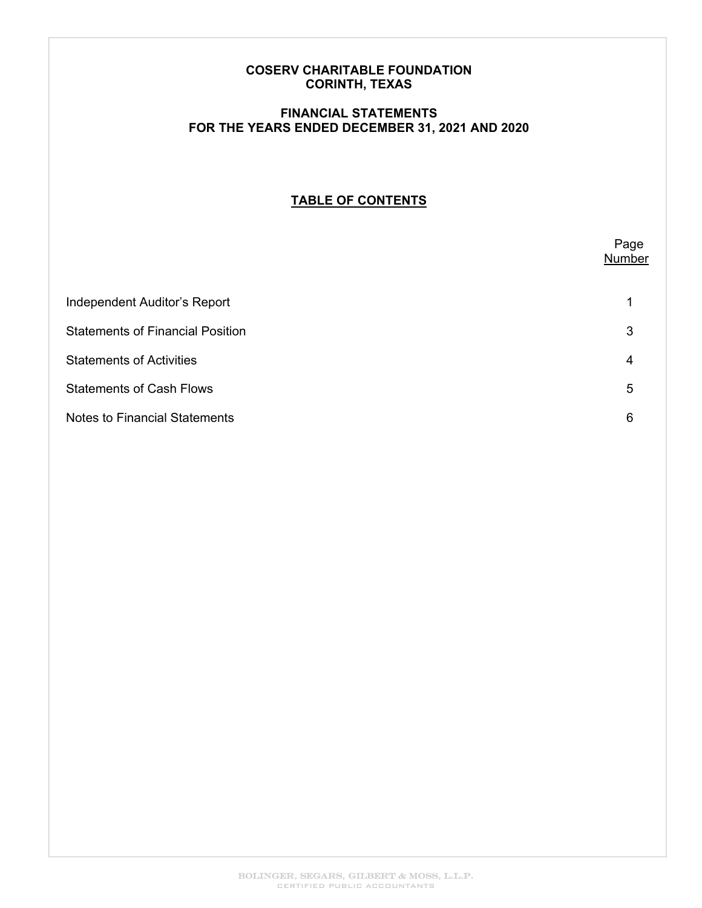## **COSERV CHARITABLE FOUNDATION CORINTH, TEXAS**

## **FINANCIAL STATEMENTS FOR THE YEARS ENDED DECEMBER 31, 2021 AND 2020**

## **TABLE OF CONTENTS**

|                                         | Page<br>Number |
|-----------------------------------------|----------------|
| Independent Auditor's Report            |                |
| <b>Statements of Financial Position</b> | 3              |
| <b>Statements of Activities</b>         | 4              |
| <b>Statements of Cash Flows</b>         | 5              |
| Notes to Financial Statements           | 6              |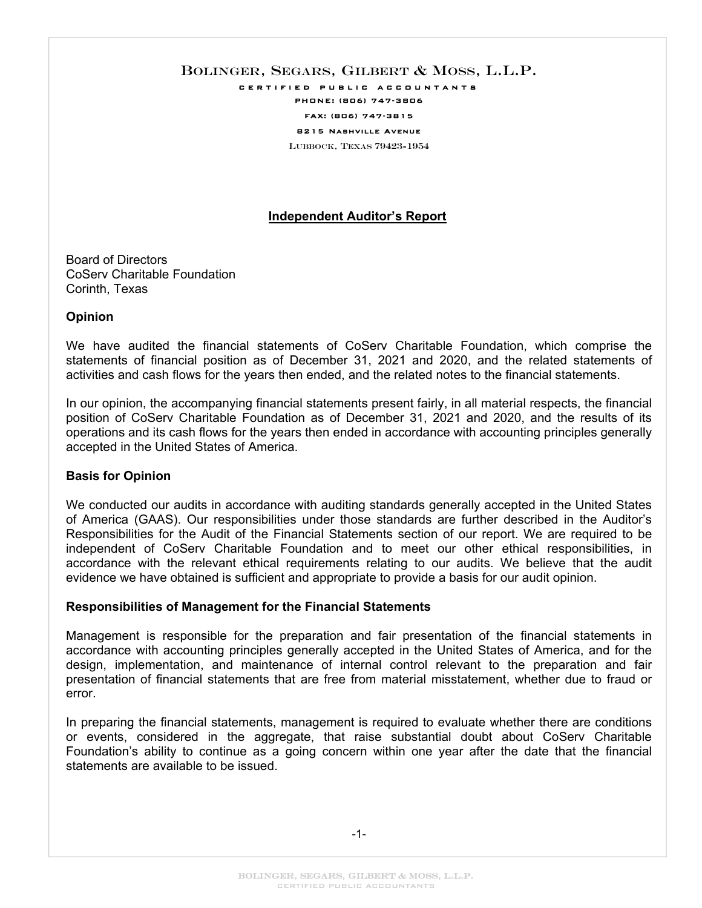# BOLINGER, SEGARS, GILBERT & MOSS, L.L.P.

certified public accountants PHONE: (806) 747-3806

#### FAX: (806) 747-3815 8215 Nashville Avenue

LUBBOCK, TEXAS 79423-1954

#### **Independent Auditor's Report**

Board of Directors CoServ Charitable Foundation Corinth, Texas

#### **Opinion**

We have audited the financial statements of CoServ Charitable Foundation, which comprise the statements of financial position as of December 31, 2021 and 2020, and the related statements of activities and cash flows for the years then ended, and the related notes to the financial statements.

In our opinion, the accompanying financial statements present fairly, in all material respects, the financial position of CoServ Charitable Foundation as of December 31, 2021 and 2020, and the results of its operations and its cash flows for the years then ended in accordance with accounting principles generally accepted in the United States of America.

#### **Basis for Opinion**

We conducted our audits in accordance with auditing standards generally accepted in the United States of America (GAAS). Our responsibilities under those standards are further described in the Auditor's Responsibilities for the Audit of the Financial Statements section of our report. We are required to be independent of CoServ Charitable Foundation and to meet our other ethical responsibilities, in accordance with the relevant ethical requirements relating to our audits. We believe that the audit evidence we have obtained is sufficient and appropriate to provide a basis for our audit opinion.

#### **Responsibilities of Management for the Financial Statements**

Management is responsible for the preparation and fair presentation of the financial statements in accordance with accounting principles generally accepted in the United States of America, and for the design, implementation, and maintenance of internal control relevant to the preparation and fair presentation of financial statements that are free from material misstatement, whether due to fraud or error.

In preparing the financial statements, management is required to evaluate whether there are conditions or events, considered in the aggregate, that raise substantial doubt about CoServ Charitable Foundation's ability to continue as a going concern within one year after the date that the financial statements are available to be issued.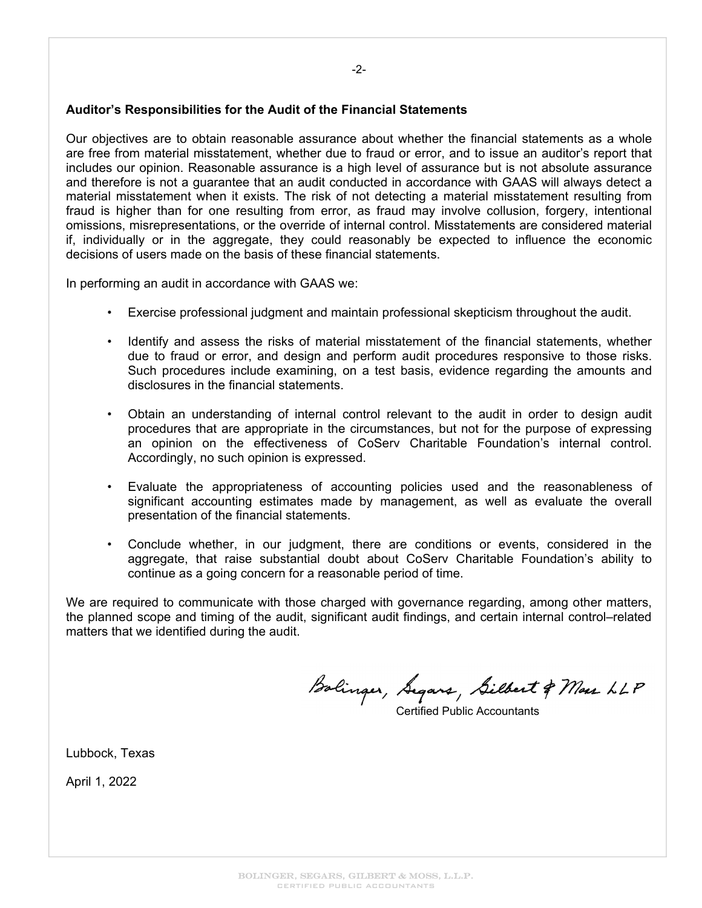## **Auditor's Responsibilities for the Audit of the Financial Statements**

Our objectives are to obtain reasonable assurance about whether the financial statements as a whole are free from material misstatement, whether due to fraud or error, and to issue an auditor's report that includes our opinion. Reasonable assurance is a high level of assurance but is not absolute assurance and therefore is not a guarantee that an audit conducted in accordance with GAAS will always detect a material misstatement when it exists. The risk of not detecting a material misstatement resulting from fraud is higher than for one resulting from error, as fraud may involve collusion, forgery, intentional omissions, misrepresentations, or the override of internal control. Misstatements are considered material if, individually or in the aggregate, they could reasonably be expected to influence the economic decisions of users made on the basis of these financial statements.

In performing an audit in accordance with GAAS we:

- Exercise professional judgment and maintain professional skepticism throughout the audit.
- Identify and assess the risks of material misstatement of the financial statements, whether due to fraud or error, and design and perform audit procedures responsive to those risks. Such procedures include examining, on a test basis, evidence regarding the amounts and disclosures in the financial statements.
- Obtain an understanding of internal control relevant to the audit in order to design audit procedures that are appropriate in the circumstances, but not for the purpose of expressing an opinion on the effectiveness of CoServ Charitable Foundation's internal control. Accordingly, no such opinion is expressed.
- Evaluate the appropriateness of accounting policies used and the reasonableness of significant accounting estimates made by management, as well as evaluate the overall presentation of the financial statements.
- Conclude whether, in our judgment, there are conditions or events, considered in the aggregate, that raise substantial doubt about CoServ Charitable Foundation's ability to continue as a going concern for a reasonable period of time.

We are required to communicate with those charged with governance regarding, among other matters, the planned scope and timing of the audit, significant audit findings, and certain internal control–related matters that we identified during the audit.

Balinger, Segars, Silbert & Mass LLP

Lubbock, Texas

April 1, 2022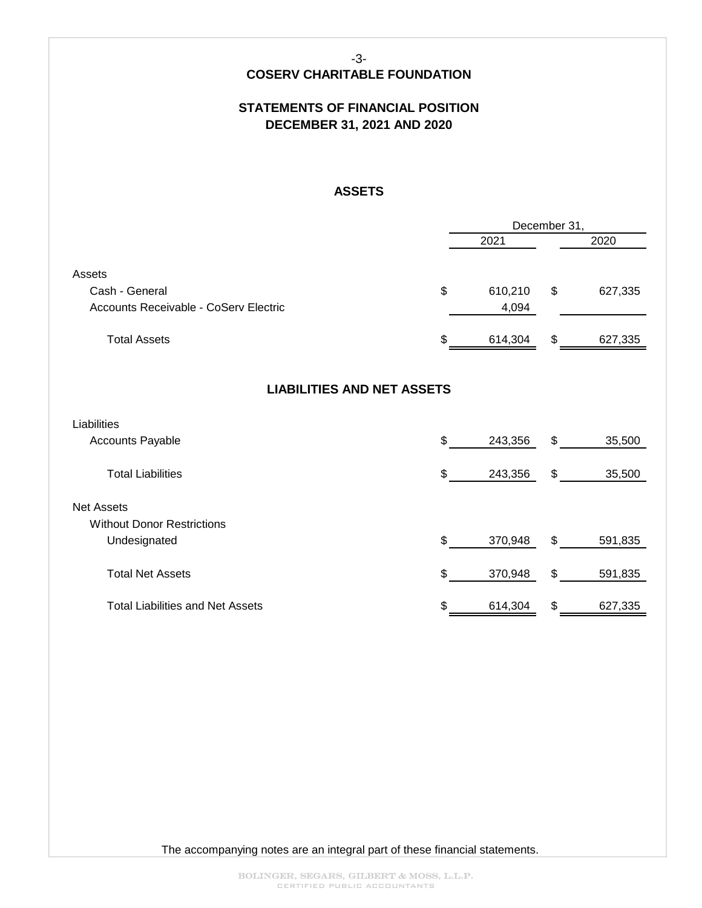## -3- **COSERV CHARITABLE FOUNDATION**

## **STATEMENTS OF FINANCIAL POSITION DECEMBER 31, 2021 AND 2020**

#### **ASSETS**

|                                                                   |    | December 31,     |    |         |  |
|-------------------------------------------------------------------|----|------------------|----|---------|--|
|                                                                   |    | 2021             |    | 2020    |  |
| Assets<br>Cash - General<br>Accounts Receivable - CoServ Electric | \$ | 610,210<br>4,094 | \$ | 627,335 |  |
| <b>Total Assets</b>                                               | \$ | 614,304          | \$ | 627,335 |  |
| <b>LIABILITIES AND NET ASSETS</b>                                 |    |                  |    |         |  |
| Liabilities                                                       |    |                  |    |         |  |
| <b>Accounts Payable</b>                                           | \$ | 243,356          | \$ | 35,500  |  |
| <b>Total Liabilities</b>                                          | \$ | 243,356          | \$ | 35,500  |  |
| <b>Net Assets</b>                                                 |    |                  |    |         |  |
| <b>Without Donor Restrictions</b><br>Undesignated                 | \$ | 370,948          | \$ | 591,835 |  |
|                                                                   |    |                  |    |         |  |
| <b>Total Net Assets</b>                                           | \$ | 370,948          | \$ | 591,835 |  |
| <b>Total Liabilities and Net Assets</b>                           | \$ | 614,304          | \$ | 627,335 |  |

The accompanying notes are an integral part of these financial statements.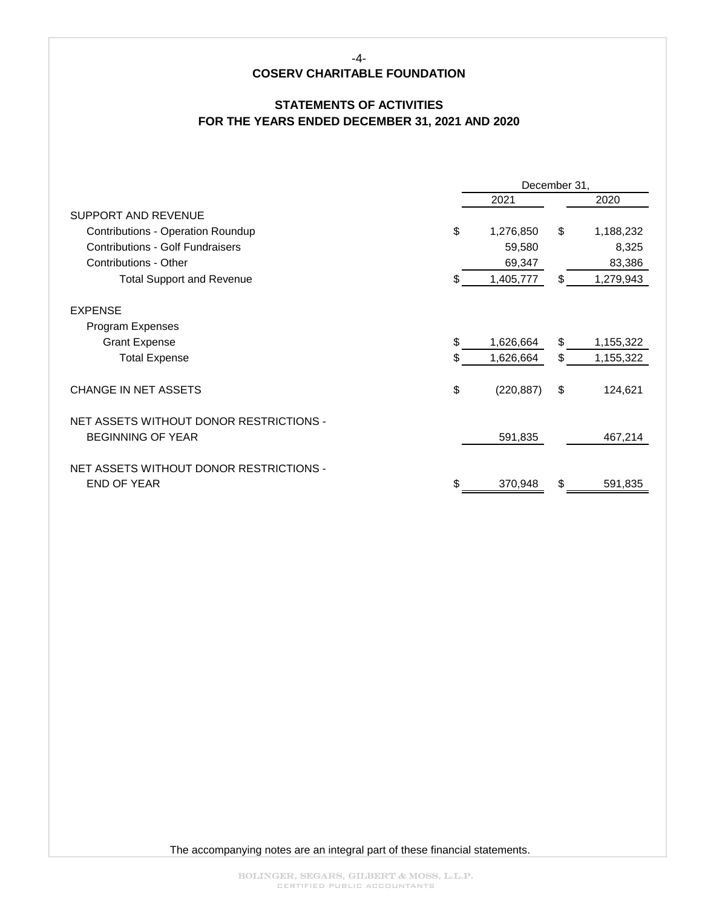#### -4-

#### **COSERV CHARITABLE FOUNDATION**

## **STATEMENTS OF ACTIVITIES FOR THE YEARS ENDED DECEMBER 31, 2021 AND 2020**

|                                          | December 31,     |    |           |
|------------------------------------------|------------------|----|-----------|
|                                          | 2021             |    | 2020      |
| SUPPORT AND REVENUE                      |                  |    |           |
| <b>Contributions - Operation Roundup</b> | \$<br>1,276,850  | \$ | 1,188,232 |
| <b>Contributions - Golf Fundraisers</b>  | 59,580           |    | 8,325     |
| Contributions - Other                    | 69,347           |    | 83,386    |
| <b>Total Support and Revenue</b>         | \$<br>1,405,777  | \$ | 1,279,943 |
| <b>EXPENSE</b>                           |                  |    |           |
| Program Expenses                         |                  |    |           |
| <b>Grant Expense</b>                     | \$<br>1,626,664  | \$ | 1,155,322 |
| <b>Total Expense</b>                     | \$<br>1,626,664  | \$ | 1,155,322 |
| <b>CHANGE IN NET ASSETS</b>              | \$<br>(220, 887) | \$ | 124,621   |
| NET ASSETS WITHOUT DONOR RESTRICTIONS -  |                  |    |           |
| <b>BEGINNING OF YEAR</b>                 | 591,835          |    | 467,214   |
| NET ASSETS WITHOUT DONOR RESTRICTIONS -  |                  |    |           |
| <b>END OF YEAR</b>                       | \$<br>370,948    | \$ | 591,835   |

The accompanying notes are an integral part of these financial statements.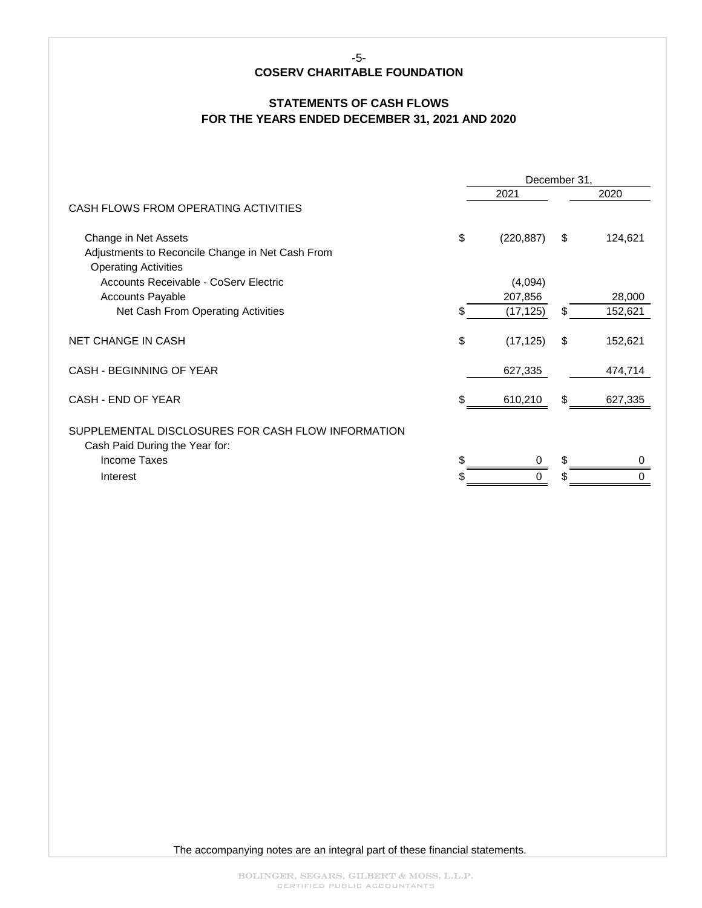#### -5- **COSERV CHARITABLE FOUNDATION**

## **STATEMENTS OF CASH FLOWS FOR THE YEARS ENDED DECEMBER 31, 2021 AND 2020**

|                                                    |    | December 31, |     |         |
|----------------------------------------------------|----|--------------|-----|---------|
|                                                    |    | 2021         |     | 2020    |
| CASH FLOWS FROM OPERATING ACTIVITIES               |    |              |     |         |
| Change in Net Assets                               | \$ | (220, 887)   | \$  | 124,621 |
| Adjustments to Reconcile Change in Net Cash From   |    |              |     |         |
| <b>Operating Activities</b>                        |    |              |     |         |
| <b>Accounts Receivable - CoServ Electric</b>       |    | (4,094)      |     |         |
| <b>Accounts Payable</b>                            |    | 207,856      |     | 28,000  |
| Net Cash From Operating Activities                 | S  | (17, 125)    | \$. | 152,621 |
| <b>NET CHANGE IN CASH</b>                          | \$ | (17, 125)    | \$  | 152,621 |
| CASH - BEGINNING OF YEAR                           |    | 627,335      |     | 474,714 |
| CASH - END OF YEAR                                 | \$ | 610,210      | \$  | 627,335 |
| SUPPLEMENTAL DISCLOSURES FOR CASH FLOW INFORMATION |    |              |     |         |
| Cash Paid During the Year for:<br>Income Taxes     | \$ |              | \$. |         |
| Interest                                           |    |              |     |         |
|                                                    |    |              |     |         |

The accompanying notes are an integral part of these financial statements.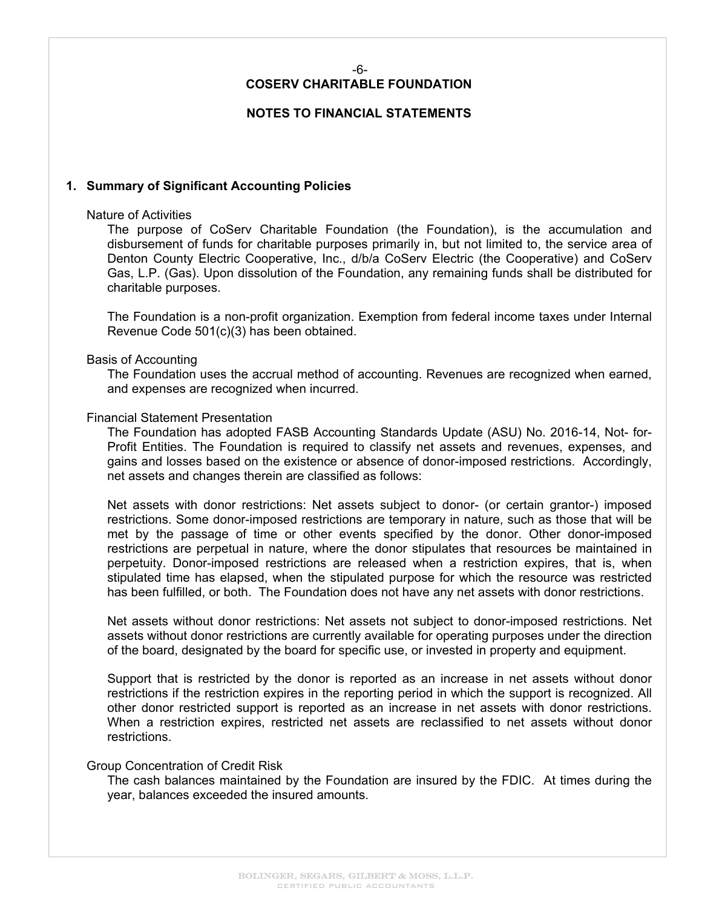-6-

## **COSERV CHARITABLE FOUNDATION**

## **NOTES TO FINANCIAL STATEMENTS**

#### **1. Summary of Significant Accounting Policies**

#### Nature of Activities

 The purpose of CoServ Charitable Foundation (the Foundation), is the accumulation and disbursement of funds for charitable purposes primarily in, but not limited to, the service area of Denton County Electric Cooperative, Inc., d/b/a CoServ Electric (the Cooperative) and CoServ Gas, L.P. (Gas). Upon dissolution of the Foundation, any remaining funds shall be distributed for charitable purposes.

 The Foundation is a non-profit organization. Exemption from federal income taxes under Internal Revenue Code 501(c)(3) has been obtained.

#### Basis of Accounting

 The Foundation uses the accrual method of accounting. Revenues are recognized when earned, and expenses are recognized when incurred.

#### Financial Statement Presentation

 The Foundation has adopted FASB Accounting Standards Update (ASU) No. 2016-14, Not- for-Profit Entities. The Foundation is required to classify net assets and revenues, expenses, and gains and losses based on the existence or absence of donor-imposed restrictions. Accordingly, net assets and changes therein are classified as follows:

 Net assets with donor restrictions: Net assets subject to donor- (or certain grantor-) imposed restrictions. Some donor-imposed restrictions are temporary in nature, such as those that will be met by the passage of time or other events specified by the donor. Other donor-imposed restrictions are perpetual in nature, where the donor stipulates that resources be maintained in perpetuity. Donor-imposed restrictions are released when a restriction expires, that is, when stipulated time has elapsed, when the stipulated purpose for which the resource was restricted has been fulfilled, or both. The Foundation does not have any net assets with donor restrictions.

 Net assets without donor restrictions: Net assets not subject to donor-imposed restrictions. Net assets without donor restrictions are currently available for operating purposes under the direction of the board, designated by the board for specific use, or invested in property and equipment.

 Support that is restricted by the donor is reported as an increase in net assets without donor restrictions if the restriction expires in the reporting period in which the support is recognized. All other donor restricted support is reported as an increase in net assets with donor restrictions. When a restriction expires, restricted net assets are reclassified to net assets without donor restrictions.

#### Group Concentration of Credit Risk

 The cash balances maintained by the Foundation are insured by the FDIC. At times during the year, balances exceeded the insured amounts.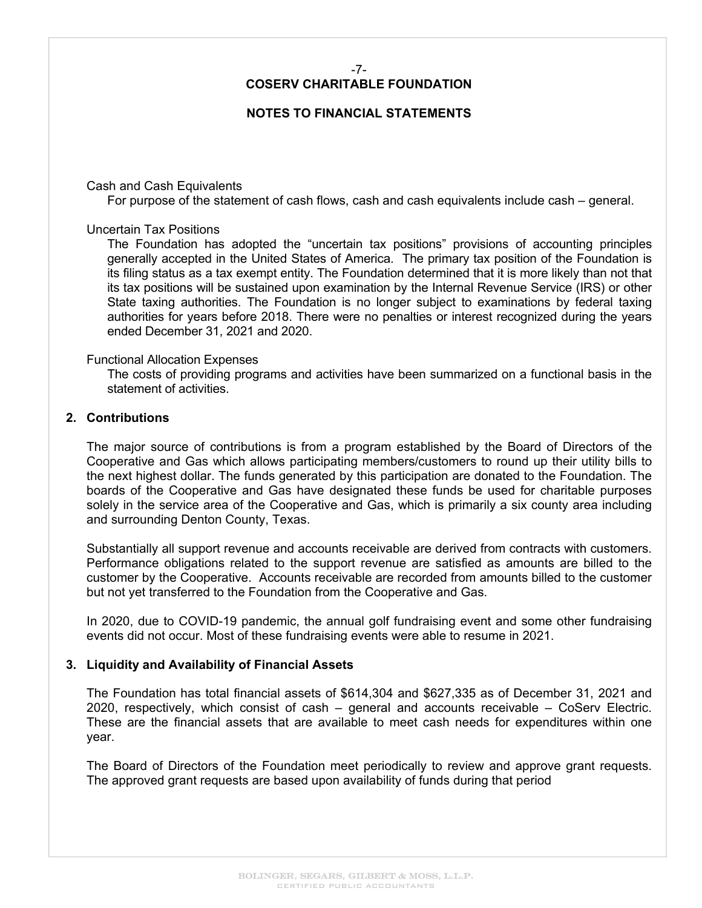#### -7- **COSERV CHARITABLE FOUNDATION**

## **NOTES TO FINANCIAL STATEMENTS**

#### Cash and Cash Equivalents

For purpose of the statement of cash flows, cash and cash equivalents include cash – general.

#### Uncertain Tax Positions

 The Foundation has adopted the "uncertain tax positions" provisions of accounting principles generally accepted in the United States of America. The primary tax position of the Foundation is its filing status as a tax exempt entity. The Foundation determined that it is more likely than not that its tax positions will be sustained upon examination by the Internal Revenue Service (IRS) or other State taxing authorities. The Foundation is no longer subject to examinations by federal taxing authorities for years before 2018. There were no penalties or interest recognized during the years ended December 31, 2021 and 2020.

#### Functional Allocation Expenses

 The costs of providing programs and activities have been summarized on a functional basis in the statement of activities.

## **2. Contributions**

 The major source of contributions is from a program established by the Board of Directors of the Cooperative and Gas which allows participating members/customers to round up their utility bills to the next highest dollar. The funds generated by this participation are donated to the Foundation. The boards of the Cooperative and Gas have designated these funds be used for charitable purposes solely in the service area of the Cooperative and Gas, which is primarily a six county area including and surrounding Denton County, Texas.

 Substantially all support revenue and accounts receivable are derived from contracts with customers. Performance obligations related to the support revenue are satisfied as amounts are billed to the customer by the Cooperative. Accounts receivable are recorded from amounts billed to the customer but not yet transferred to the Foundation from the Cooperative and Gas.

 In 2020, due to COVID-19 pandemic, the annual golf fundraising event and some other fundraising events did not occur. Most of these fundraising events were able to resume in 2021.

## **3. Liquidity and Availability of Financial Assets**

 The Foundation has total financial assets of \$614,304 and \$627,335 as of December 31, 2021 and 2020, respectively, which consist of cash – general and accounts receivable – CoServ Electric. These are the financial assets that are available to meet cash needs for expenditures within one year.

 The Board of Directors of the Foundation meet periodically to review and approve grant requests. The approved grant requests are based upon availability of funds during that period